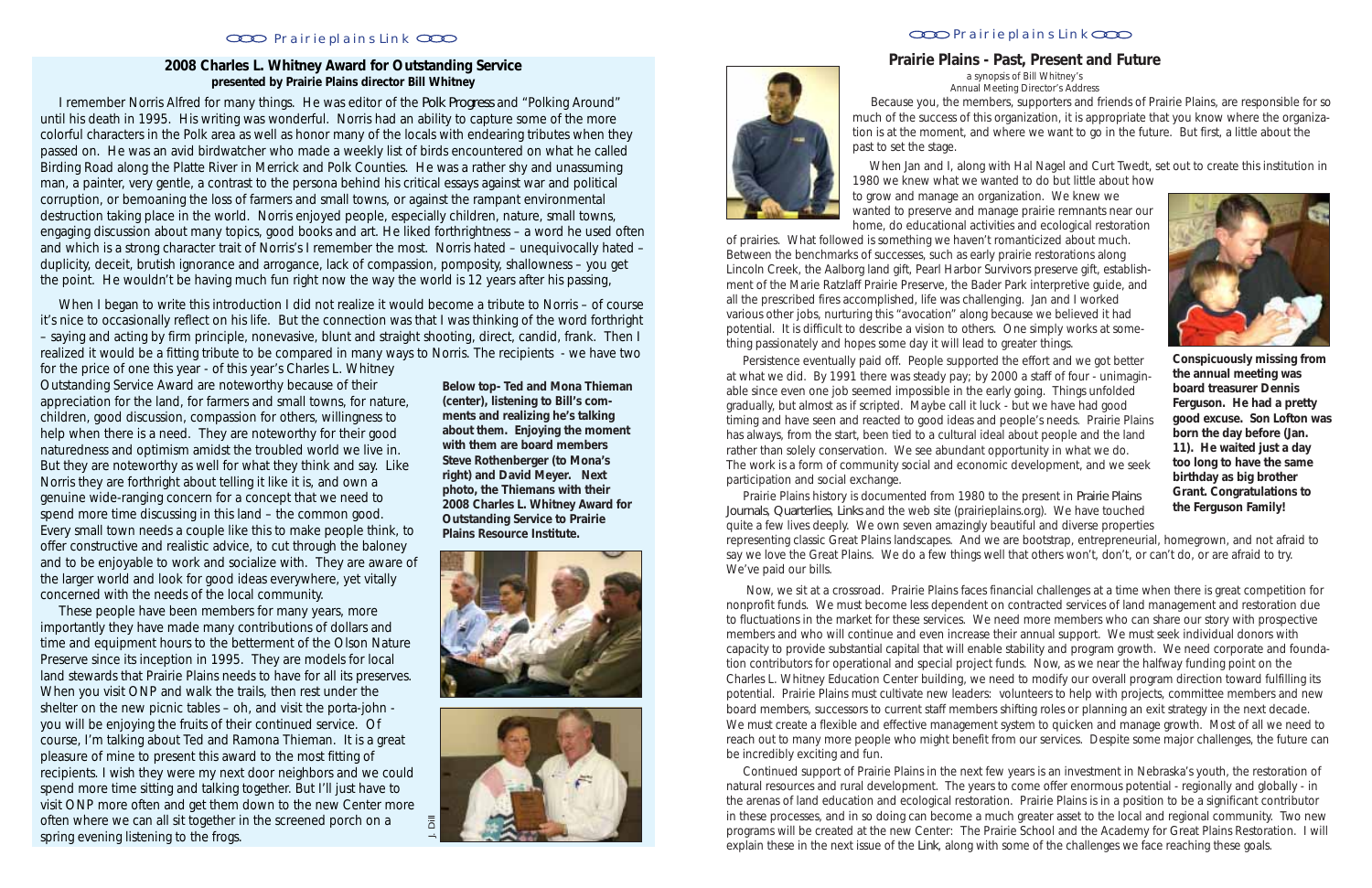#### **2008 Charles L. Whitney Award for Outstanding Service presented by Prairie Plains director Bill Whitney**

 I remember Norris Alfred for many things. He was editor of the *Polk Progress* and "Polking Around" until his death in 1995. His writing was wonderful. Norris had an ability to capture some of the more colorful characters in the Polk area as well as honor many of the locals with endearing tributes when they passed on. He was an avid birdwatcher who made a weekly list of birds encountered on what he called Birding Road along the Platte River in Merrick and Polk Counties. He was a rather shy and unassuming man, a painter, very gentle, a contrast to the persona behind his critical essays against war and political corruption, or bemoaning the loss of farmers and small towns, or against the rampant environmental destruction taking place in the world. Norris enjoyed people, especially children, nature, small towns, engaging discussion about many topics, good books and art. He liked forthrightness – a word he used often and which is a strong character trait of Norris's I remember the most. Norris hated – unequivocally hated – duplicity, deceit, brutish ignorance and arrogance, lack of compassion, pomposity, shallowness – you get the point. He wouldn't be having much fun right now the way the world is 12 years after his passing,

When I began to write this introduction I did not realize it would become a tribute to Norris – of course it's nice to occasionally reflect on his life. But the connection was that I was thinking of the word forthright – saying and acting by firm principle, nonevasive, blunt and straight shooting, direct, candid, frank. Then I realized it would be a fitting tribute to be compared in many ways to Norris. The recipients - we have two

> **the Ferguson Family!** Prairie Plains history is documented from 1980 to the present in *Prairie Plains Journals*, *Quarterlies*, *Links* and the web site (prairieplains.org). We have touched quite a few lives deeply. We own seven amazingly beautiful and diverse properties representing classic Great Plains landscapes. And we are bootstrap, entrepreneurial, homegrown, and not afraid to say we love the Great Plains. We do a few things well that others won't, don't, or can't do, or are afraid to try. We've paid our bills.

for the price of one this year - of this year's Charles L. Whitney Outstanding Service Award are noteworthy because of their appreciation for the land, for farmers and small towns, for nature, children, good discussion, compassion for others, willingness to help when there is a need. They are noteworthy for their good naturedness and optimism amidst the troubled world we live in. But they are noteworthy as well for what they think and say. Like Norris they are forthright about telling it like it is, and own a genuine wide-ranging concern for a concept that we need to spend more time discussing in this land – the common good. Every small town needs a couple like this to make people think, to offer constructive and realistic advice, to cut through the baloney and to be enjoyable to work and socialize with. They are aware of the larger world and look for good ideas everywhere, yet vitally concerned with the needs of the local community.

 These people have been members for many years, more importantly they have made many contributions of dollars and time and equipment hours to the betterment of the Olson Nature Preserve since its inception in 1995. They are models for local land stewards that Prairie Plains needs to have for all its preserves. When you visit ONP and walk the trails, then rest under the shelter on the new picnic tables – oh, and visit the porta-john you will be enjoying the fruits of their continued service. Of course, I'm talking about Ted and Ramona Thieman. It is a great pleasure of mine to present this award to the most fitting of recipients. I wish they were my next door neighbors and we could spend more time sitting and talking together. But I'll just have to visit ONP more often and get them down to the new Center more often where we can all sit together in the screened porch on a spring evening listening to the frogs.

**Conspicuously missing from the annual meeting was board treasurer Dennis Ferguson. He had a pretty good excuse. Son Lofton was born the day before (Jan. 11). He waited just a day too long to have the same birthday as big brother Grant. Congratulations to**

**Below top- Ted and Mona Thieman (center), listening to Bill's comments and realizing he's talking about** *them***. Enjoying the moment with them are board members Steve Rothenberger (to Mona's right) and David Meyer. Next photo, the Thiemans with their 2008 Charles L. Whitney Award for Outstanding Service to Prairie Plains Resource Institute.**





When Jan and I, along with Hal Nagel and Curt Twedt, set out to create this institution in



1980 we knew what we wanted to do but little about how

to grow and manage an organization. We knew we wanted to preserve and manage prairie remnants near our home, do educational activities and ecological restoration of prairies. What followed is something we haven't romanticized about much. Between the benchmarks of successes, such as early prairie restorations along Lincoln Creek, the Aalborg land gift, Pearl Harbor Survivors preserve gift, establishment of the Marie Ratzlaff Prairie Preserve, the Bader Park interpretive guide, and all the prescribed fires accomplished, life was challenging. Jan and I worked various other jobs, nurturing this "avocation" along because we believed it had potential. It is difficult to describe a vision to others. One simply works at something passionately and hopes some day it will lead to greater things.

 Persistence eventually paid off. People supported the effort and we got better at what we did. By 1991 there was steady pay; by 2000 a staff of four - unimaginable since even one job seemed impossible in the early going. Things unfolded gradually, but almost as if scripted. Maybe call it luck - but we have had good timing and have seen and reacted to good ideas and people's needs. Prairie Plains has always, from the start, been tied to a cultural ideal about people and the land rather than solely conservation. We see abundant opportunity in what we do. The work is a form of community social and economic development, and we seek participation and social exchange.

 Because you, the members, supporters and friends of Prairie Plains, are responsible for so much of the success of this organization, it is appropriate that you know where the organization is at the moment, and where we want to go in the future. But first, a little about the past to set the stage. a synopsis of Bill Whitney's Annual Meeting Director's Address

 Now, we sit at a crossroad. Prairie Plains faces financial challenges at a time when there is great competition for nonprofit funds. We must become less dependent on contracted services of land management and restoration due to fluctuations in the market for these services. We need more members who can share our story with prospective members and who will continue and even increase their annual support. We must seek individual donors with capacity to provide substantial capital that will enable stability and program growth. We need corporate and foundation contributors for operational and special project funds. Now, as we near the halfway funding point on the Charles L. Whitney Education Center building, we need to modify our overall program direction toward fulfilling its potential. Prairie Plains must cultivate new leaders: volunteers to help with projects, committee members and new board members, successors to current staff members shifting roles or planning an exit strategy in the next decade. We must create a flexible and effective management system to quicken and manage growth. Most of all we need to reach out to many more people who might benefit from our services. Despite some major challenges, the future can be incredibly exciting and fun.

 Continued support of Prairie Plains in the next few years is an investment in Nebraska's youth, the restoration of natural resources and rural development. The years to come offer enormous potential - regionally and globally - in the arenas of land education and ecological restoration. Prairie Plains is in a position to be a significant contributor in these processes, and in so doing can become a much greater asset to the local and regional community. Two new programs will be created at the new Center: The Prairie School and the Academy for Great Plains Restoration. I will explain these in the next issue of the *Link*, along with some of the challenges we face reaching these goals.

### Prairie plains Link COO **Prairie plains Link** COO **Prairie plains Link COO**

#### **Prairie Plains - Past, Present and Future**